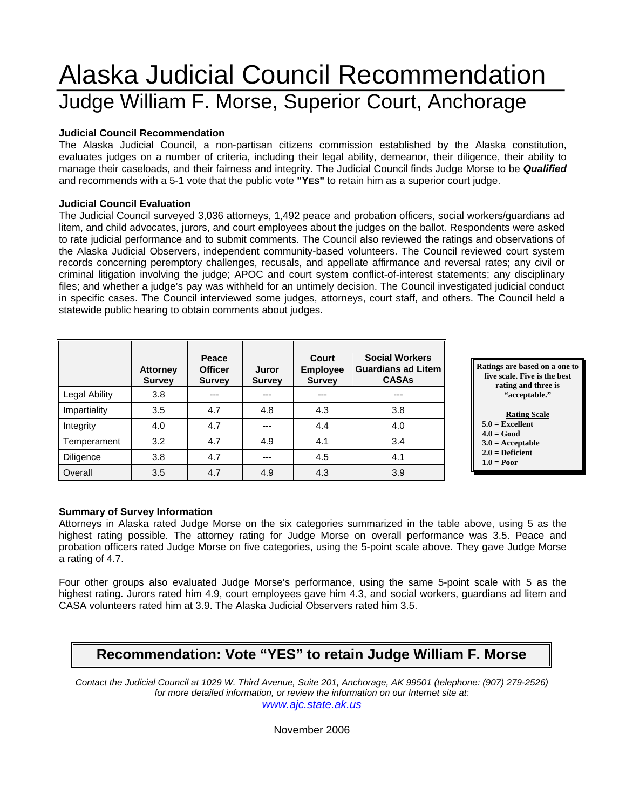# Alaska Judicial Council Recommendation Judge William F. Morse, Superior Court, Anchorage

#### **Judicial Council Recommendation**

The Alaska Judicial Council, a non-partisan citizens commission established by the Alaska constitution, evaluates judges on a number of criteria, including their legal ability, demeanor, their diligence, their ability to manage their caseloads, and their fairness and integrity. The Judicial Council finds Judge Morse to be *Qualified* and recommends with a 5-1 vote that the public vote **"YES"** to retain him as a superior court judge.

#### **Judicial Council Evaluation**

The Judicial Council surveyed 3,036 attorneys, 1,492 peace and probation officers, social workers/guardians ad litem, and child advocates, jurors, and court employees about the judges on the ballot. Respondents were asked to rate judicial performance and to submit comments. The Council also reviewed the ratings and observations of the Alaska Judicial Observers, independent community-based volunteers. The Council reviewed court system records concerning peremptory challenges, recusals, and appellate affirmance and reversal rates; any civil or criminal litigation involving the judge; APOC and court system conflict-of-interest statements; any disciplinary files; and whether a judge's pay was withheld for an untimely decision. The Council investigated judicial conduct in specific cases. The Council interviewed some judges, attorneys, court staff, and others. The Council held a statewide public hearing to obtain comments about judges.

|               | <b>Attorney</b><br><b>Survey</b> | Peace<br><b>Officer</b><br><b>Survey</b> | Juror<br><b>Survey</b> | <b>Court</b><br><b>Employee</b><br><b>Survey</b> | <b>Social Workers</b><br><b>Guardians ad Litem</b><br><b>CASAs</b> |
|---------------|----------------------------------|------------------------------------------|------------------------|--------------------------------------------------|--------------------------------------------------------------------|
| Legal Ability | 3.8                              | ---                                      |                        | ---                                              | ---                                                                |
| Impartiality  | 3.5                              | 4.7                                      | 4.8                    | 4.3                                              | 3.8                                                                |
| Integrity     | 4.0                              | 4.7                                      | ---                    | 4.4                                              | 4.0                                                                |
| Temperament   | 3.2                              | 4.7                                      | 4.9                    | 4.1                                              | 3.4                                                                |
| Diligence     | 3.8                              | 4.7                                      | ---                    | 4.5                                              | 4.1                                                                |
| Overall       | 3.5                              | 4.7                                      | 4.9                    | 4.3                                              | 3.9                                                                |

**Ratings are based on a one to five scale. Five is the best rating and three is "acceptable."** 

#### **Rating Scale**

- **5.0 = Excellent**
- **4.0 = Good 3.0 = Acceptable**
- **2.0 = Deficient**
- $1.0 = Poor$

### **Summary of Survey Information**

Attorneys in Alaska rated Judge Morse on the six categories summarized in the table above, using 5 as the highest rating possible. The attorney rating for Judge Morse on overall performance was 3.5. Peace and probation officers rated Judge Morse on five categories, using the 5-point scale above. They gave Judge Morse a rating of 4.7.

Four other groups also evaluated Judge Morse's performance, using the same 5-point scale with 5 as the highest rating. Jurors rated him 4.9, court employees gave him 4.3, and social workers, guardians ad litem and CASA volunteers rated him at 3.9. The Alaska Judicial Observers rated him 3.5.

# **Recommendation: Vote "YES" to retain Judge William F. Morse**

*Contact the Judicial Council at 1029 W. Third Avenue, Suite 201, Anchorage, AK 99501 (telephone: (907) 279-2526) for more detailed information, or review the information on our Internet site at:* 

*www.ajc.state.ak.us*

November 2006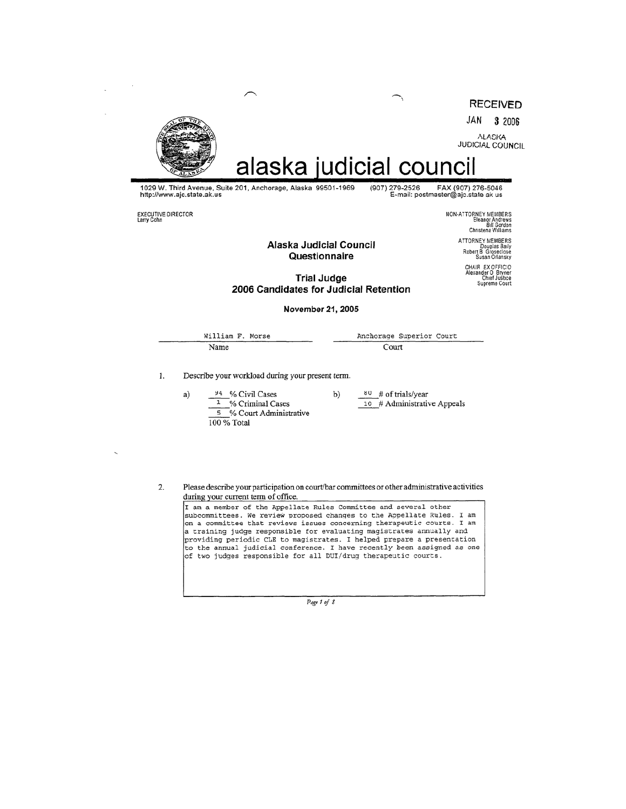**RECEIVED** 

JAN 3 2006

ALASKA<br>JUDICIAL COUNCIL



a)

alaska judicial council

1029 W. Third Avenue, Suite 201, Anchorage, Alaska 99501-1969<br>http://www.ajc.state.ak.us

EXECUTIVE DIRECTOR<br>Larry Cohn

NON-ATTORNEY MEMBERS<br>Eleanor Andrews<br>Eleanor Andrews<br>Christena Williams

(907) 279-2526 FAX (907) 276-5046<br>E-mail: postmaster@ajc.state ak us

Alaska Judicial Council Questionnaire

ATTORNEY MEMBERS Douglas Baily<br>Robert B Groseclose<br>Susan Orlansky

CHAIR EX OFFICIO<br>Alexander O Bryner<br>Chief Justice<br>Supreme Court

#### **Trial Judge** 2006 Candidates for Judicial Retention

#### November 21, 2005

William F. Morse Anchorage Superior Court Name Court

b)

1. Describe your workload during your present term.

> 94 % Civil Cases  $\frac{1}{1}$ % Criminal Cases 5 % Court Administrative  $100\%$  Total

 $80$  # of trials/year  $\overline{10}$  # Administrative Appeals

Please describe your participation on court/bar committees or other administrative activities  $2.$ during your current term of office.

I am a member of the Appellate Rules Committee and several other subcommittees. We review proposed changes to the Appellate Rules. I am on a committee that reviews issues concerning therapeutic courts. I am a training judge responsible for evaluating magistrates annually and providing periodic CLE to magistrates. I helped prepare a presentation to the annual judicial conference. I have recently been assigned as one of two judges responsible for all DUI/drug therapeutic courts.

Page 1 of 8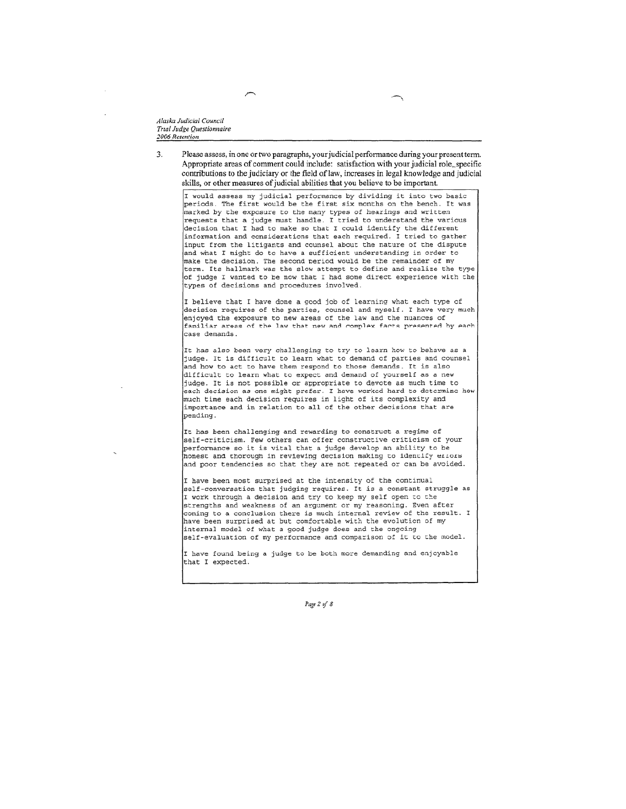Alaska Judicial Council Trial Judge Questionnaire 2006 Retention

 $\overline{\mathbf{3}}$ Please assess, in one or two paragraphs, your judicial performance during your present term. Appropriate areas of comment could include: satisfaction with your judicial role, specific contributions to the judiciary or the field of law, increases in legal knowledge and judicial skills, or other measures of judicial abilities that you believe to be important.

I would assess my judicial performance by dividing it into two basic<br>periods. The first would be the first six months on the bench. It was marked by the exposure to the many types of hearings and written requests that a judge must handle. I tried to understand the various decision that I had to make so that I could identify the different information and considerations that each required. I tried to gather input from the litigants and counsel about the nature of the dispute and what I might do to have a sufficient understanding in order to make the decision. The second period would be the remainder of my term. Its hallmark was the slow attempt to define and realize the type of judge I wanted to be now that I had some direct experience with the types of decisions and procedures involved.

I believe that I have done a good job of learning what each type of decision requires of the parties, counsel and myself. I have very much enjoyed the exposure to new areas of the law and the nuances of familiar areas of the law that new and complex facts presented by each case demands.

It has also been very challenging to try to learn how to behave as a judge. It is difficult to learn what to demand of parties and counsel and how to act to have them respond to those demands. It is also difficult to learn what to expect and demand of yourself as a new judge. It is not possible or appropriate to devote as much time to each decision as one might prefer. I have worked hard to determine how much time each decision requires in light of its complexity and importance and in relation to all of the other decisions that are pending.

It has been challenging and rewarding to construct a regime of self-criticism. Few others can offer constructive criticism of your performance so it is vital that a judge develop an ability to be honest and thorough in reviewing decision making to identify errors and poor tendencies so that they are not repeated or can be avoided.

I have been most surprised at the intensity of the continual self-conversation that judging requires. It is a constant struggle as I work through a decision and try to keep my self open to the strengths and weakness of an argument or my reasoning. Even after coming to a conclusion there is much internal review of the result. I have been surprised at but comfortable with the evolution of my internal model of what a good judge does and the ongoing self-evaluation of my performance and comparison of it to the model.

I have found being a judge to be both more demanding and enjoyable that I expected.

Page 2 of 8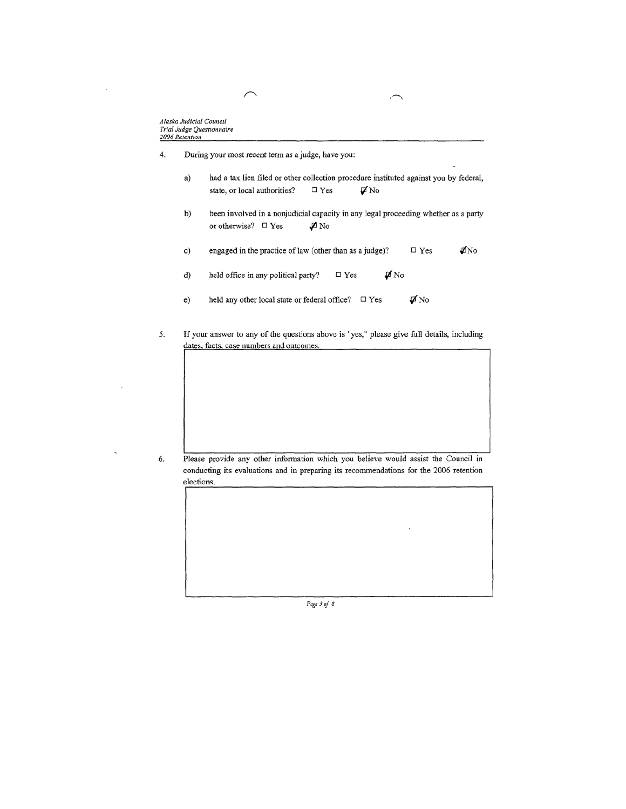$\overline{a}$ 

| 4. | During your most recent term as a judge, have you: |  |  |
|----|----------------------------------------------------|--|--|
|    |                                                    |  |  |

- had a tax lien filed or other collection procedure instituted against you by federal, a) state, or local authorities?  $\Box$  Yes  $\nabla$ No
- been involved in a nonjudicial capacity in any legal proceeding whether as a party b) or otherwise?  $\quad \Box$  Yes  $\not\blacksquare$  No
- $\rlap{/}p\!fNo$ engaged in the practice of law (other than as a judge)?  $\hfill \square$  Yes c)
- $\hfill \square$  Yes d) held office in any political party?  $\not \blacksquare$  No
- held any other local state or federal office?  $\Box$  Yes  $\boldsymbol{\not\negmedspace\negthinspace\negthinspace\boldsymbol{\vartriangledown}}$  No  $e)$
- 5. If your answer to any of the questions above is "yes," please give full details, including dates, facts, case numbers and outcomes.

6.

Please provide any other information which you believe would assist the Council in conducting its evaluations and in preparing its recommendations for the 2006 retention elections.

Page 3 of 8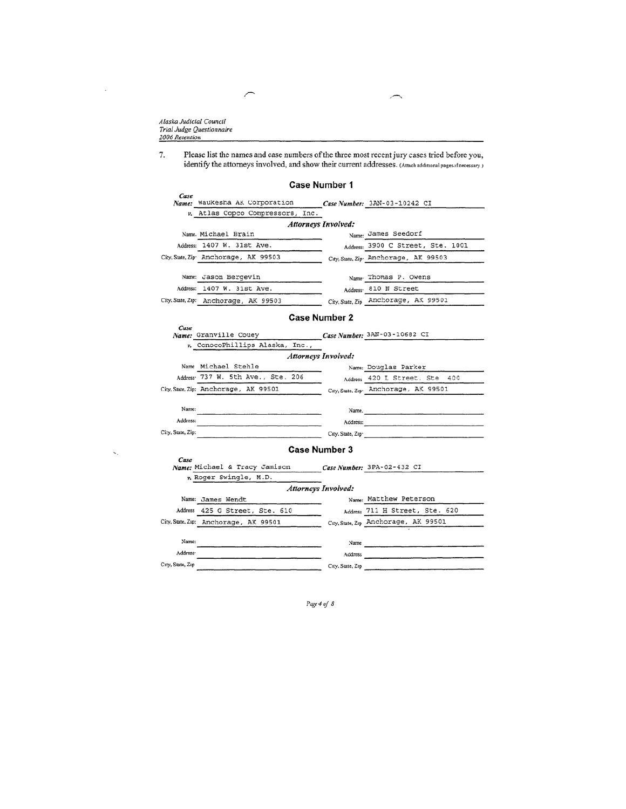Alaska Judicial Council Trial Judge Questionnaire 2006 Retention

Please list the names and case numbers of the three most recent jury cases tried before you, 7. identify the attorneys involved, and show their current addresses. (Attach additional pages if necessary )

#### Case Number 1 Case Name: Waukesha AK Corporation Case Number:  $3AN-03-10242$  CI v. Atlas Copco Compressors, Inc. **Attorneys Involved:** Name: James Seedorf Name. Michael Brain Address: 1407 W. 31st Ave. Address: 3900 C Street, Ste. 1001 City, State, Zip Anchorage, AK 99503 City, State, Zip Anchorage, AK 99503 Name Thomas P. Owens Name: Jason Bergevin Address 810 N Street Address: 1407 W. 31st Ave. City, State, Zip Anchorage, AX 99501 City. State, Zip: Anchorage, AK 99503 **Case Number 2** V. ConocoPhillips Alaska, Inc., Case Number: 3AN-03-10682 CI Case Name: Granville Couey Name Michael Stehle Name: Douglas Parker Address 737 W. 5th Ave., Ste. 206 Address 420 L Street, Ste 400 City, State Zip Anchorage, AK 99501 City, State, Zip: Anchorage, AK 99501 Name: Name. Address: Address: City, State, Zip: City, State, Zip **Case Number 3** Case Name: Michael & Tracy Jamison Case Number: 3PA-02-432 CI v. Roger Swingle, M.D. **Attorneys Involved:** Name: James Wendt Name: Matthew Peterson Address 425 G Street, Ste. 610 Address 711 H Street, Ste. 620 City, State, Zip: Anchorage, AK 99501 City, State, Zip Anchorage, AK 99501 Name: Name  $\overline{\phantom{a}}$ Address<sup>.</sup> Address City, State, Zip City, State, Zip

Page 4 of 8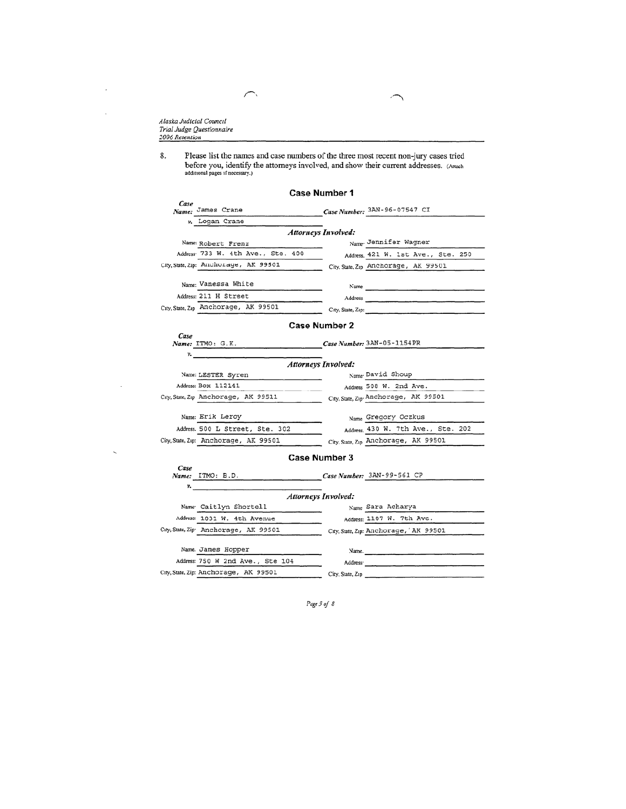Alaska Judicial Council Trial Judge Questionnaire 2006 Retention

 $\overline{a}$ 

8. Please list the names and case numbers of the three most recent non-jury cases tried before you, identify the attorneys involved, and show their current addresses. (Attach additional pages if necessary.)

#### Case Number 1  $\it Case$ Case Number:  $3AN-96-07547$  CI Name: James Crane v. Logan Crane Attorneys Involved: Name: Robert Frenz<br>Address 733 W. 4th Ave., Ste. 400 Name Jennifer Wagner Address. 421 W. 1st Ave., Ste. 250 City, State, Zip: Anchorage, AK 99501 City, State, Zip Anchorage, AK 99501 Name: Vanessa White Name Address: 211 H Street Address City, State, Zip Anchorage, AK 99501 City, State, Zip: Case Number 2 Case Name: ITMO: G.K. Case Number: 3AN-05-1154PR ν. **Attorneys Involved:**

| Name: LESTER Syren                   | Name David Shoup                     |  |  |  |  |  |  |  |
|--------------------------------------|--------------------------------------|--|--|--|--|--|--|--|
| Address: BOX 112141                  | Address 508 W. 2nd Ave.              |  |  |  |  |  |  |  |
| City, State, Zip Anchorage, AK 99511 | City, State, Zip Anchorage, AK 99501 |  |  |  |  |  |  |  |
| Name: Erik Leroy                     | Name Gregory Oczkus                  |  |  |  |  |  |  |  |
|                                      |                                      |  |  |  |  |  |  |  |
| Address. 500 L Street, Ste. 302      | Address 430 W. 7th Ave., Ste. 202    |  |  |  |  |  |  |  |

#### Case Number 3

| case<br>Name: | ITMO: B.D.                            |                      | Case Number: 3AN-99-561 CP             |
|---------------|---------------------------------------|----------------------|----------------------------------------|
| ν.            |                                       |                      |                                        |
|               | <b>Attorneys Involved:</b>            |                      |                                        |
|               | Name Caitlyn Shortell                 |                      | Name Sara Acharya                      |
|               | Address: 1031 W. 4th Avenue           |                      | Address: 1107 W. 7th Ave.              |
|               | City, State, Zip Anchorage, AK 99501  |                      | City, State, Zip: Anchorage, 'AK 99501 |
|               |                                       |                      |                                        |
|               | Name. James Hopper                    | Name.                |                                        |
|               | Address: 750 W 2nd Ave., Ste 104      | Address <sup>.</sup> |                                        |
|               | City, State, Zip: Anchorage, AK 99501 | City, State, Zip     |                                        |
|               |                                       |                      |                                        |

Page 5 of 8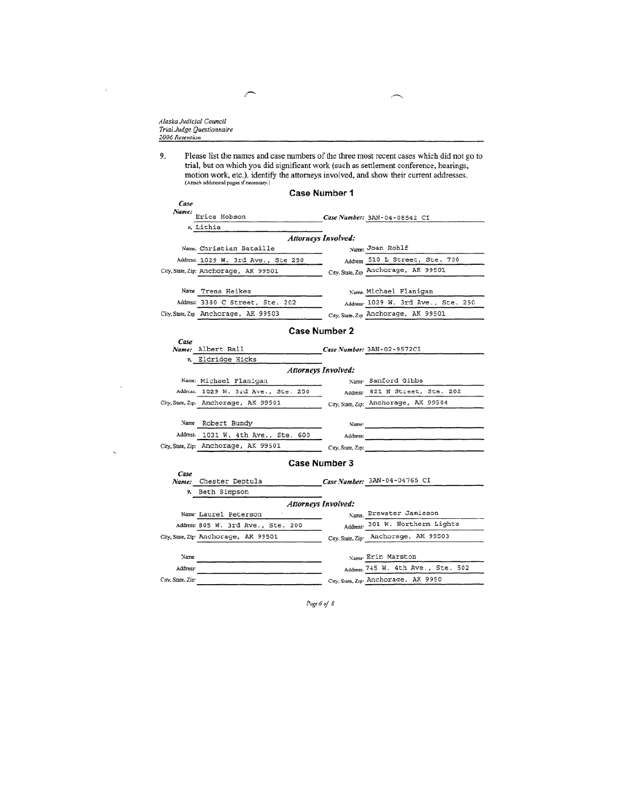Alaska Judicial Council<br>Trial Judge Questionnaire<br>2006 Retention

 $\overline{a}$ 

 $\overline{ }$ 

Please list the names and case numbers of the three most recent cases which did not go to trial, but on which you did significant work (such as settlement conference, hearings, motion work, etc.), identify the attorneys in 9.  $\mathcal{L}$ ÷. ÷.

× ╮

|               |                                       | <b>Case Number 1</b>       |                                      |
|---------------|---------------------------------------|----------------------------|--------------------------------------|
| Case<br>Name: | Erica Hobson<br>v. Lithia             |                            | Case Number: 3AN-04-08542 CI         |
|               |                                       |                            |                                      |
|               |                                       | <b>Attorneys Involved:</b> |                                      |
|               | Name. Christian Bataille              |                            | Name: Joan Rohlf                     |
|               | Address: 1029 W. 3rd Ave., Ste 250    |                            | Address 510 L Street, Ste. 700       |
|               | City, State, Zip: Anchorage, AK 99501 |                            | City, State, Zip Anchorage, AK 99501 |
|               | Name Trena Heikes                     |                            | Name. Michael Flanigan               |
|               | Address: 3380 C Street, Ste. 202      |                            | Address 1029 W. 3rd Ave., Ste. 250   |
|               | City, State, Zip Anchorage, AK 99503  |                            | City, State, Zip Anchorage, AK 99501 |
| $C_{area}$    |                                       | <b>Case Number 2</b>       |                                      |

| $- - - -$ | Name: Albert Ball                     |                            | Case Number: 3AN-02-9572CI            |
|-----------|---------------------------------------|----------------------------|---------------------------------------|
|           | v. Eldridge Hicks                     |                            |                                       |
|           |                                       | <b>Attorneys Involved:</b> |                                       |
|           | Name: Michael Flanigan                |                            | Name Sanford Gibbs                    |
|           | Address: 1029 W. 3rd Ave., Ste. 250   |                            | Address 821 N Street, Ste. 202        |
|           | City, State, Zip. Anchorage, AK 99501 |                            | City, State, Zip: Anchorage, AK 99504 |
| Name      | Robert Bundy                          | Name <sup>-</sup>          |                                       |
|           | Address. 1031 W. 4th Ave., Ste. 600   | Address:                   |                                       |
|           | City, State, Zip: Anchorage, AK 99501 | City, State, Zip:          |                                       |

#### Case Number 3

| Case<br>Name:        | Chester Deptula                                   |                            | Case Number: 3AN-04-04765 CI         |
|----------------------|---------------------------------------------------|----------------------------|--------------------------------------|
|                      | v. Beth Simpson                                   |                            |                                      |
|                      |                                                   | <b>Attorneys Involved:</b> |                                      |
|                      | Name Laurel Peterson                              |                            | Name. Brewster Jamieson              |
|                      | Address: 805 W. 3rd Ave., Ste. 200                |                            | Address 301 W. Northern Lights       |
|                      | City, State, Zip <sup>.</sup> Anchorage, AK 99501 |                            | City, State, Zip Anchorage, AK 99503 |
|                      |                                                   |                            |                                      |
| Name                 |                                                   |                            | Name Erin Marston                    |
| Address <sup>.</sup> |                                                   |                            | Address. 745 W. 4th Ave., Ste. 502   |
| City, State, Zip-    |                                                   |                            | City, State, Zip. Anchorage, AK 9950 |

Page 6 of 8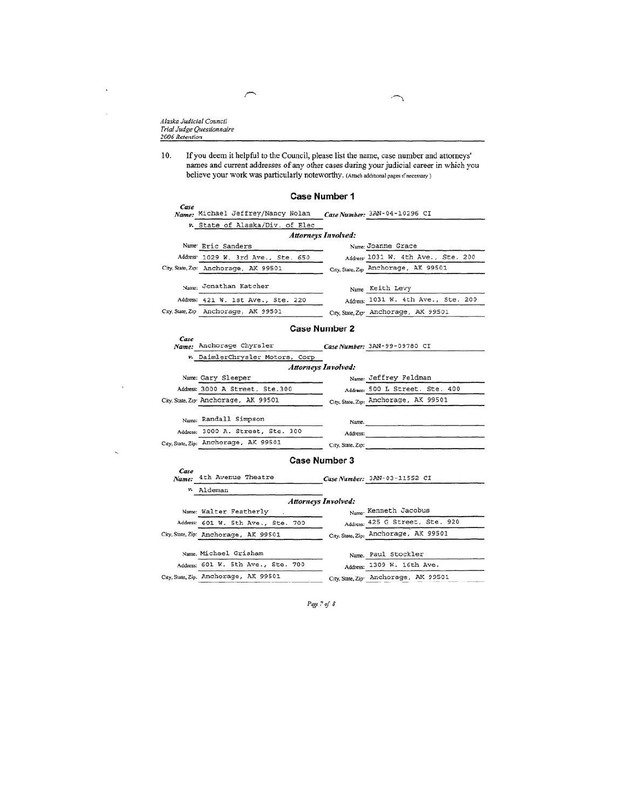Alaska Judicial Council Trial Judge Questionnaire<br>2006 Retention

If you deem it helpful to the Council, please list the name, case number and attorneys' 10. names and current addresses of any other cases during your judicial career in which you believe your work was particularly noteworthy. (Attach additional pages if necessary)

#### Case Number 1

| v. State of Alaska/Div. of Elec |                                             |                                                                               |                                                                           | Case Number: 3AN-04-10296 CI         |
|---------------------------------|---------------------------------------------|-------------------------------------------------------------------------------|---------------------------------------------------------------------------|--------------------------------------|
|                                 |                                             |                                                                               |                                                                           |                                      |
|                                 |                                             |                                                                               |                                                                           |                                      |
|                                 |                                             |                                                                               |                                                                           | Name: Joanne Grace                   |
|                                 |                                             |                                                                               |                                                                           | Address 1031 W. 4th Ave., Ste. 200   |
|                                 |                                             |                                                                               |                                                                           | City, State, Zip Anchorage, AK 99501 |
|                                 |                                             |                                                                               |                                                                           | Name Keith Levy                      |
|                                 |                                             |                                                                               |                                                                           | Address: 1031 W. 4th Ave., Ste. 200  |
|                                 |                                             |                                                                               |                                                                           | City, State, Zip Anchorage, AK 99501 |
|                                 | Name Eric Sanders<br>Name: Jonathan Katcher | City, State, Zip: Anchorage, AK 99501<br>City, State, Zip Anchorage, AK 99501 | Address: 1029 W. 3rd Ave., Ste. 650<br>Address: 421 W. 1st Ave., Ste. 220 | <b>Attorneys Involved:</b>           |

#### Case Number 2  $\it Case$ Name: Anchorage Chyrsler Case Number: 3AN-99-09780 CI v. DaimlerChrysler Motors, Corp **Attorneys Involved:** Name: Gary Sleeper Name: Jeffrey Feldman Address: 3000 A Street, Ste.300 Address: 500 L Street, Ste. 400 City, State, Zip: Anchorage, AK 99501 City, State, Zip. Anchorage, AK 99501 Name: Randall Simpson Name. Address: 3000 A. Street, Ste. 300 Address: City, State, Zip: Anchorage, AK 99501 City, State, Zip:

#### Case Number 3

| Case<br>Name: | 4th Avenue Theatre                    | Case Number: 3AN-03-11552 CI          |
|---------------|---------------------------------------|---------------------------------------|
|               | v. Aldeman                            |                                       |
|               | <b>Attorneys Involved:</b>            |                                       |
|               | Name: Walter Featherly                | Name Kenneth Jacobus                  |
|               | Address: 601 W. 5th Ave., Ste. 700    | Address: 425 G Street, Ste. 920       |
|               | City, State, Zip: Anchorage, AK 99501 | City, State, Zip: Anchorage, AK 99501 |
|               | Name, Michael Grisham                 | Name. Paul Stockler                   |
|               | Address: 601 W. 5th Ave., Ste. 700    | Address: 1309 W. 16th Ave.            |
|               | City, State, Zip. Anchorage, AK 99501 | City, State, Zip Anchorage, AK 99501  |
|               |                                       |                                       |

Page 7 of 8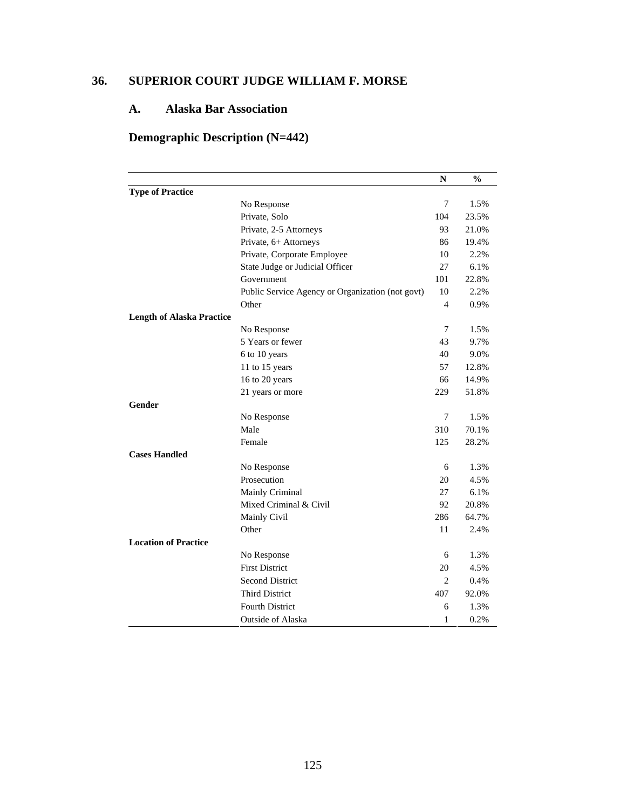# **36. SUPERIOR COURT JUDGE WILLIAM F. MORSE**

# **A. Alaska Bar Association**

# **Demographic Description (N=442)**

|                                  |                                                                                                                                                                                                                                                                                                                                                                                                                                                                                                                                                                                     | N   | $\frac{6}{9}$ |
|----------------------------------|-------------------------------------------------------------------------------------------------------------------------------------------------------------------------------------------------------------------------------------------------------------------------------------------------------------------------------------------------------------------------------------------------------------------------------------------------------------------------------------------------------------------------------------------------------------------------------------|-----|---------------|
| <b>Type of Practice</b>          |                                                                                                                                                                                                                                                                                                                                                                                                                                                                                                                                                                                     |     |               |
|                                  | No Response                                                                                                                                                                                                                                                                                                                                                                                                                                                                                                                                                                         | 7   | 1.5%          |
|                                  | Private, Solo<br>Private, 2-5 Attorneys<br>Private, 6+ Attorneys<br>Private, Corporate Employee<br>State Judge or Judicial Officer<br>Government<br>Public Service Agency or Organization (not govt)<br>Other<br>No Response<br>5 Years or fewer<br>6 to 10 years<br>11 to 15 years<br>16 to 20 years<br>21 years or more<br>No Response<br>Male<br>Female<br>No Response<br>Prosecution<br>Mainly Criminal<br>Mixed Criminal & Civil<br>Mainly Civil<br>Other<br>No Response<br><b>First District</b><br><b>Second District</b><br><b>Third District</b><br><b>Fourth District</b> |     | 23.5%         |
|                                  | 104<br>101                                                                                                                                                                                                                                                                                                                                                                                                                                                                                                                                                                          |     | 21.0%         |
|                                  |                                                                                                                                                                                                                                                                                                                                                                                                                                                                                                                                                                                     | 86  | 19.4%         |
|                                  |                                                                                                                                                                                                                                                                                                                                                                                                                                                                                                                                                                                     | 10  | 2.2%          |
|                                  |                                                                                                                                                                                                                                                                                                                                                                                                                                                                                                                                                                                     | 27  | 6.1%          |
|                                  |                                                                                                                                                                                                                                                                                                                                                                                                                                                                                                                                                                                     |     | 22.8%         |
|                                  |                                                                                                                                                                                                                                                                                                                                                                                                                                                                                                                                                                                     | 10  | 2.2%          |
|                                  |                                                                                                                                                                                                                                                                                                                                                                                                                                                                                                                                                                                     | 4   | 0.9%          |
| <b>Length of Alaska Practice</b> |                                                                                                                                                                                                                                                                                                                                                                                                                                                                                                                                                                                     |     |               |
|                                  |                                                                                                                                                                                                                                                                                                                                                                                                                                                                                                                                                                                     | 7   | 1.5%          |
|                                  |                                                                                                                                                                                                                                                                                                                                                                                                                                                                                                                                                                                     | 43  | 9.7%          |
|                                  |                                                                                                                                                                                                                                                                                                                                                                                                                                                                                                                                                                                     | 40  | 9.0%          |
|                                  |                                                                                                                                                                                                                                                                                                                                                                                                                                                                                                                                                                                     | 57  | 12.8%         |
|                                  |                                                                                                                                                                                                                                                                                                                                                                                                                                                                                                                                                                                     | 66  | 14.9%         |
|                                  |                                                                                                                                                                                                                                                                                                                                                                                                                                                                                                                                                                                     | 229 | 51.8%         |
| Gender                           |                                                                                                                                                                                                                                                                                                                                                                                                                                                                                                                                                                                     |     |               |
|                                  |                                                                                                                                                                                                                                                                                                                                                                                                                                                                                                                                                                                     | 7   | 1.5%          |
|                                  |                                                                                                                                                                                                                                                                                                                                                                                                                                                                                                                                                                                     | 310 | 70.1%         |
|                                  |                                                                                                                                                                                                                                                                                                                                                                                                                                                                                                                                                                                     | 125 | 28.2%         |
| <b>Cases Handled</b>             |                                                                                                                                                                                                                                                                                                                                                                                                                                                                                                                                                                                     |     |               |
|                                  |                                                                                                                                                                                                                                                                                                                                                                                                                                                                                                                                                                                     | 6   | 1.3%          |
|                                  |                                                                                                                                                                                                                                                                                                                                                                                                                                                                                                                                                                                     | 20  | 4.5%          |
|                                  |                                                                                                                                                                                                                                                                                                                                                                                                                                                                                                                                                                                     | 27  | 6.1%          |
|                                  |                                                                                                                                                                                                                                                                                                                                                                                                                                                                                                                                                                                     | 92  | 20.8%         |
|                                  |                                                                                                                                                                                                                                                                                                                                                                                                                                                                                                                                                                                     | 286 | 64.7%         |
|                                  |                                                                                                                                                                                                                                                                                                                                                                                                                                                                                                                                                                                     | 11  | 2.4%          |
| <b>Location of Practice</b>      |                                                                                                                                                                                                                                                                                                                                                                                                                                                                                                                                                                                     |     |               |
|                                  |                                                                                                                                                                                                                                                                                                                                                                                                                                                                                                                                                                                     | 6   | 1.3%          |
|                                  |                                                                                                                                                                                                                                                                                                                                                                                                                                                                                                                                                                                     | 20  | 4.5%          |
|                                  |                                                                                                                                                                                                                                                                                                                                                                                                                                                                                                                                                                                     | 2   | 0.4%          |
|                                  |                                                                                                                                                                                                                                                                                                                                                                                                                                                                                                                                                                                     | 407 | 92.0%         |
|                                  |                                                                                                                                                                                                                                                                                                                                                                                                                                                                                                                                                                                     | 6   | 1.3%          |
|                                  | <b>Outside of Alaska</b>                                                                                                                                                                                                                                                                                                                                                                                                                                                                                                                                                            | 1   | 0.2%          |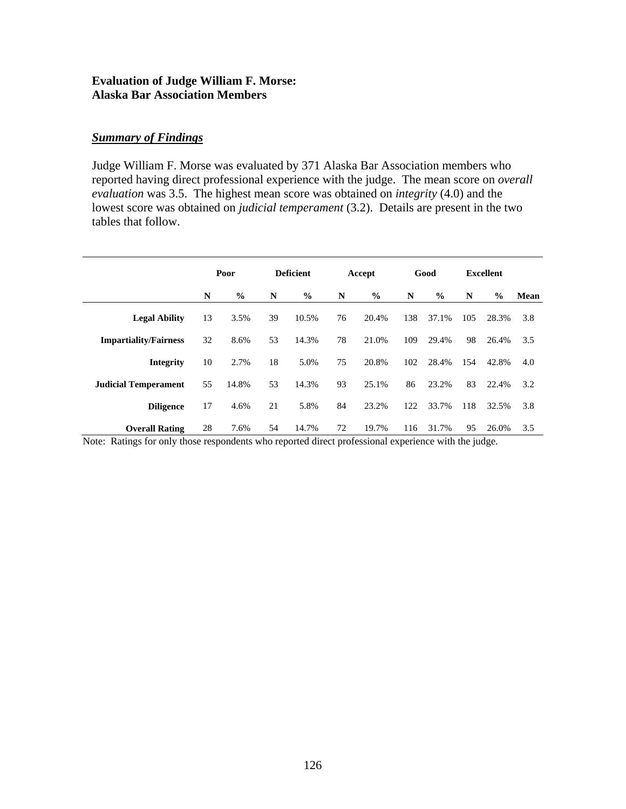### **Evaluation of Judge William F. Morse: Alaska Bar Association Members**

### *Summary of Findings*

Judge William F. Morse was evaluated by 371 Alaska Bar Association members who reported having direct professional experience with the judge. The mean score on *overall evaluation* was 3.5. The highest mean score was obtained on *integrity* (4.0) and the lowest score was obtained on *judicial temperament* (3.2). Details are present in the two tables that follow.

|                              | Poor |               | <b>Deficient</b> |               | Accept |               | Good |               | <b>Excellent</b> |               |      |
|------------------------------|------|---------------|------------------|---------------|--------|---------------|------|---------------|------------------|---------------|------|
|                              | N    | $\frac{0}{0}$ | N                | $\frac{6}{9}$ | N      | $\frac{6}{9}$ | N    | $\frac{6}{6}$ | N                | $\frac{6}{9}$ | Mean |
| <b>Legal Ability</b>         | 13   | 3.5%          | 39               | 10.5%         | 76     | 20.4%         | 138  | 37.1%         | 105              | 28.3%         | 3.8  |
| <b>Impartiality/Fairness</b> | 32   | 8.6%          | 53               | 14.3%         | 78     | 21.0%         | 109  | 29.4%         | 98               | 26.4%         | 3.5  |
| <b>Integrity</b>             | 10   | 2.7%          | 18               | 5.0%          | 75     | 20.8%         | 102  | 28.4%         | 154              | 42.8%         | 4.0  |
| <b>Judicial Temperament</b>  | 55   | 14.8%         | 53               | 14.3%         | 93     | 25.1%         | 86   | 23.2%         | 83               | 22.4%         | 3.2  |
| <b>Diligence</b>             | 17   | 4.6%          | 21               | 5.8%          | 84     | 23.2%         | 122  | 33.7%         | 118              | 32.5%         | 3.8  |
| <b>Overall Rating</b>        | 28   | 7.6%          | 54               | 14.7%         | 72     | 19.7%         | 116  | 31.7%         | 95               | 26.0%         | 3.5  |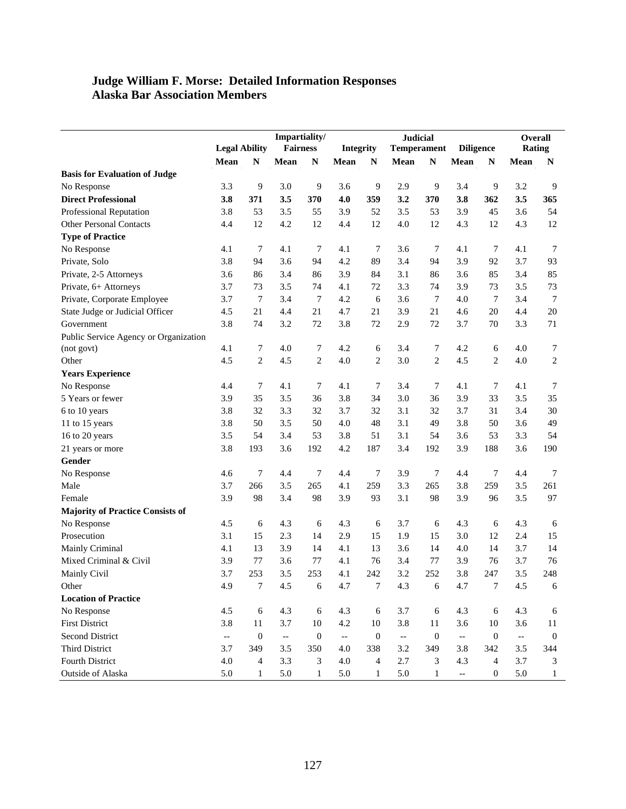### **Judge William F. Morse: Detailed Information Responses Alaska Bar Association Members**

|                                         |                          |                  | Impartiality/            |                  |                          |                  | <b>Judicial</b>          |                    |                          |                  | Overall                  |                |
|-----------------------------------------|--------------------------|------------------|--------------------------|------------------|--------------------------|------------------|--------------------------|--------------------|--------------------------|------------------|--------------------------|----------------|
|                                         | <b>Legal Ability</b>     |                  | <b>Fairness</b>          |                  |                          | Integrity        |                          | <b>Temperament</b> |                          | <b>Diligence</b> | <b>Rating</b>            |                |
|                                         | Mean                     | $\mathbb{N}$     | Mean                     | $\mathbf N$      | Mean                     | ${\bf N}$        | Mean                     | ${\bf N}$          | Mean                     | ${\bf N}$        | Mean                     | N              |
| <b>Basis for Evaluation of Judge</b>    |                          |                  |                          |                  |                          |                  |                          |                    |                          |                  |                          |                |
| No Response                             | 3.3                      | 9                | 3.0                      | $\overline{9}$   | 3.6                      | 9                | 2.9                      | 9                  | 3.4                      | $\overline{9}$   | 3.2                      | 9              |
| <b>Direct Professional</b>              | 3.8                      | 371              | 3.5                      | 370              | 4.0                      | 359              | 3.2                      | 370                | 3.8                      | 362              | 3.5                      | 365            |
| Professional Reputation                 | 3.8                      | 53               | 3.5                      | 55               | 3.9                      | 52               | 3.5                      | 53                 | 3.9                      | 45               | 3.6                      | 54             |
| <b>Other Personal Contacts</b>          | 4.4                      | 12               | 4.2                      | 12               | 4.4                      | 12               | 4.0                      | 12                 | 4.3                      | 12               | 4.3                      | 12             |
| <b>Type of Practice</b>                 |                          |                  |                          |                  |                          |                  |                          |                    |                          |                  |                          |                |
| No Response                             | 4.1                      | $\tau$           | 4.1                      | 7                | 4.1                      | 7                | 3.6                      | 7                  | 4.1                      | 7                | 4.1                      | 7              |
| Private, Solo                           | 3.8                      | 94               | 3.6                      | 94               | 4.2                      | 89               | 3.4                      | 94                 | 3.9                      | 92               | 3.7                      | 93             |
| Private, 2-5 Attorneys                  | 3.6                      | 86               | 3.4                      | 86               | 3.9                      | 84               | 3.1                      | 86                 | 3.6                      | 85               | 3.4                      | 85             |
| Private, 6+ Attorneys                   | 3.7                      | 73               | 3.5                      | 74               | 4.1                      | 72               | 3.3                      | 74                 | 3.9                      | 73               | 3.5                      | 73             |
| Private, Corporate Employee             | 3.7                      | 7                | 3.4                      | 7                | 4.2                      | 6                | 3.6                      | 7                  | 4.0                      | 7                | 3.4                      | 7              |
| State Judge or Judicial Officer         | 4.5                      | 21               | 4.4                      | 21               | 4.7                      | 21               | 3.9                      | 21                 | 4.6                      | 20               | 4.4                      | 20             |
| Government                              | 3.8                      | 74               | 3.2                      | 72               | 3.8                      | 72               | 2.9                      | 72                 | 3.7                      | 70               | 3.3                      | 71             |
| Public Service Agency or Organization   |                          |                  |                          |                  |                          |                  |                          |                    |                          |                  |                          |                |
| (not govt)                              | 4.1                      | 7                | 4.0                      | 7                | 4.2                      | 6                | 3.4                      | 7                  | 4.2                      | 6                | 4.0                      | 7              |
| Other                                   | 4.5                      | $\overline{c}$   | 4.5                      | $\overline{c}$   | 4.0                      | $\overline{c}$   | 3.0                      | $\overline{c}$     | 4.5                      | 2                | 4.0                      | $\overline{c}$ |
| <b>Years Experience</b>                 |                          |                  |                          |                  |                          |                  |                          |                    |                          |                  |                          |                |
| No Response                             | 4.4                      | 7                | 4.1                      | 7                | 4.1                      | 7                | 3.4                      | 7                  | 4.1                      | 7                | 4.1                      | 7              |
| 5 Years or fewer                        | 3.9                      | 35               | 3.5                      | 36               | 3.8                      | 34               | 3.0                      | 36                 | 3.9                      | 33               | 3.5                      | 35             |
| 6 to 10 years                           | 3.8                      | 32               | 3.3                      | 32               | 3.7                      | 32               | 3.1                      | 32                 | 3.7                      | 31               | 3.4                      | 30             |
| 11 to 15 years                          | 3.8                      | 50               | 3.5                      | 50               | 4.0                      | 48               | 3.1                      | 49                 | 3.8                      | 50               | 3.6                      | 49             |
| 16 to 20 years                          | 3.5                      | 54               | 3.4                      | 53               | 3.8                      | 51               | 3.1                      | 54                 | 3.6                      | 53               | 3.3                      | 54             |
| 21 years or more                        | 3.8                      | 193              | 3.6                      | 192              | 4.2                      | 187              | 3.4                      | 192                | 3.9                      | 188              | 3.6                      | 190            |
| Gender                                  |                          |                  |                          |                  |                          |                  |                          |                    |                          |                  |                          |                |
| No Response                             | 4.6                      | 7                | 4.4                      | 7                | 4.4                      | 7                | 3.9                      | 7                  | 4.4                      | 7                | 4.4                      | 7              |
| Male                                    | 3.7                      | 266              | 3.5                      | 265              | 4.1                      | 259              | 3.3                      | 265                | 3.8                      | 259              | 3.5                      | 261            |
| Female                                  | 3.9                      | 98               | 3.4                      | 98               | 3.9                      | 93               | 3.1                      | 98                 | 3.9                      | 96               | 3.5                      | 97             |
| <b>Majority of Practice Consists of</b> |                          |                  |                          |                  |                          |                  |                          |                    |                          |                  |                          |                |
| No Response                             | 4.5                      | 6                | 4.3                      | 6                | 4.3                      | 6                | 3.7                      | 6                  | 4.3                      | 6                | 4.3                      | 6              |
| Prosecution                             | 3.1                      | 15               | 2.3                      | 14               | 2.9                      | 15               | 1.9                      | 15                 | 3.0                      | 12               | 2.4                      | 15             |
| Mainly Criminal                         | 4.1                      | 13               | 3.9                      | 14               | 4.1                      | 13               | 3.6                      | 14                 | 4.0                      | 14               | 3.7                      | 14             |
| Mixed Criminal & Civil                  | 3.9                      | 77               | 3.6                      | 77               | 4.1                      | 76               | 3.4                      | 77                 | 3.9                      | 76               | 3.7                      | 76             |
| Mainly Civil                            | 3.7                      | 253              | 3.5                      | 253              | 4.1                      | 242              | 3.2                      | 252                | 3.8                      | 247              | 3.5                      | 248            |
| Other                                   | 4.9                      | $\boldsymbol{7}$ | 4.5                      | $\epsilon$       | 4.7                      | $\boldsymbol{7}$ | 4.3                      | $\sqrt{6}$         | 4.7                      | $\sqrt{ }$       | 4.5                      | 6              |
| <b>Location of Practice</b>             |                          |                  |                          |                  |                          |                  |                          |                    |                          |                  |                          |                |
| No Response                             | 4.5                      | 6                | 4.3                      | $\boldsymbol{6}$ | 4.3                      | 6                | 3.7                      | 6                  | 4.3                      | 6                | 4.3                      | 6              |
| <b>First District</b>                   | 3.8                      | 11               | 3.7                      | 10               | $4.2\,$                  | 10               | 3.8                      | 11                 | 3.6                      | 10               | 3.6                      | 11             |
| Second District                         | $\overline{\phantom{a}}$ | $\mathbf{0}$     | $\overline{\phantom{a}}$ | $\boldsymbol{0}$ | $\overline{\phantom{a}}$ | $\boldsymbol{0}$ | $\overline{\phantom{a}}$ | $\mathbf{0}$       | $\overline{\phantom{a}}$ | $\boldsymbol{0}$ | $\overline{\phantom{a}}$ | $\mathbf{0}$   |
| Third District                          | 3.7                      | 349              | 3.5                      | 350              | 4.0                      | 338              | 3.2                      | 349                | 3.8                      | 342              | 3.5                      | 344            |
| Fourth District                         | 4.0                      | 4                | 3.3                      | 3                | 4.0                      | $\overline{4}$   | 2.7                      | 3                  | 4.3                      | $\overline{4}$   | 3.7                      | 3              |
| Outside of Alaska                       | 5.0                      | $\mathbf{1}$     | 5.0                      | $\mathbf{1}$     | 5.0                      | $\mathbf{1}$     | 5.0                      | $\mathbf{1}$       | $\overline{\phantom{a}}$ | $\boldsymbol{0}$ | 5.0                      | $\mathbf{1}$   |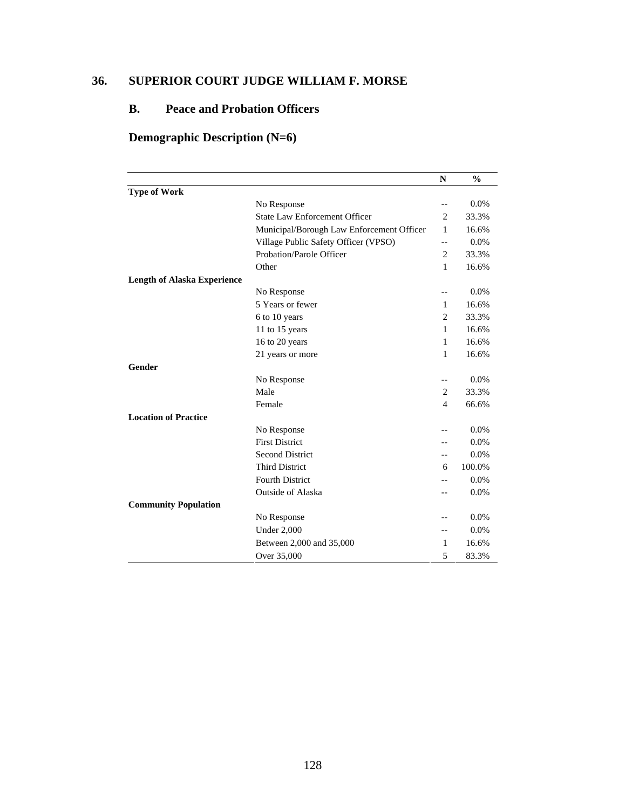# **36. SUPERIOR COURT JUDGE WILLIAM F. MORSE**

# **B. Peace and Probation Officers**

# **Demographic Description (N=6)**

|                                    |                                           | N              | $\frac{0}{0}$ |
|------------------------------------|-------------------------------------------|----------------|---------------|
| <b>Type of Work</b>                |                                           |                |               |
|                                    | No Response                               | $-$            | 0.0%          |
|                                    | <b>State Law Enforcement Officer</b>      | $\overline{2}$ | 33.3%         |
|                                    | Municipal/Borough Law Enforcement Officer | 1              | 16.6%         |
|                                    | Village Public Safety Officer (VPSO)      | $-$            | 0.0%          |
|                                    | Probation/Parole Officer                  | $\overline{c}$ | 33.3%         |
|                                    | Other                                     | 1              | 16.6%         |
| <b>Length of Alaska Experience</b> |                                           |                |               |
|                                    | No Response                               | $-$            | 0.0%          |
|                                    | 5 Years or fewer                          | 1              | 16.6%         |
|                                    | 6 to 10 years                             | $\overline{2}$ | 33.3%         |
|                                    | 11 to 15 years                            | $\mathbf{1}$   | 16.6%         |
|                                    | 16 to 20 years                            | $\mathbf{1}$   | 16.6%         |
|                                    | 21 years or more                          | 1              | 16.6%         |
| Gender                             |                                           |                |               |
|                                    | No Response                               | --             | 0.0%          |
|                                    | Male                                      | 2              | 33.3%         |
|                                    | Female                                    | $\overline{4}$ | 66.6%         |
| <b>Location of Practice</b>        |                                           |                |               |
|                                    | No Response                               |                | 0.0%          |
|                                    | <b>First District</b>                     |                | 0.0%          |
|                                    | <b>Second District</b>                    | $-$            | 0.0%          |
|                                    | <b>Third District</b>                     | 6              | 100.0%        |
|                                    | <b>Fourth District</b>                    |                | 0.0%          |
|                                    | <b>Outside of Alaska</b>                  |                | 0.0%          |
| <b>Community Population</b>        |                                           |                |               |
|                                    | No Response                               |                | 0.0%          |
|                                    | <b>Under 2,000</b>                        | $-$            | 0.0%          |
|                                    | Between 2,000 and 35,000                  | 1              | 16.6%         |
|                                    | Over 35,000                               | 5              | 83.3%         |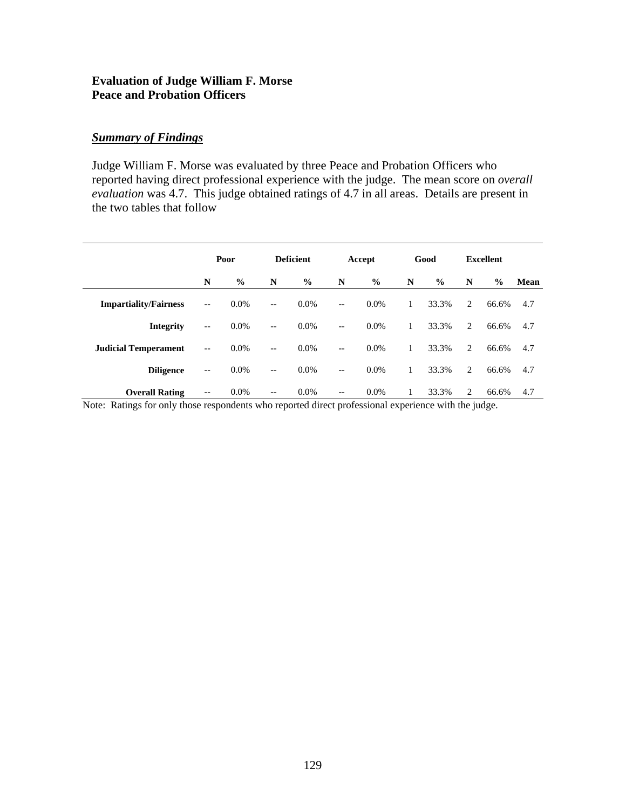### **Evaluation of Judge William F. Morse Peace and Probation Officers**

### *Summary of Findings*

Judge William F. Morse was evaluated by three Peace and Probation Officers who reported having direct professional experience with the judge. The mean score on *overall evaluation* was 4.7. This judge obtained ratings of 4.7 in all areas. Details are present in the two tables that follow

|                              | Poor                     |               | <b>Deficient</b>         |               | Accept                   |               | Good |               | <b>Excellent</b> |               |      |
|------------------------------|--------------------------|---------------|--------------------------|---------------|--------------------------|---------------|------|---------------|------------------|---------------|------|
|                              | N                        | $\frac{0}{0}$ | N                        | $\frac{0}{0}$ | N                        | $\frac{6}{9}$ | N    | $\frac{0}{0}$ | N                | $\frac{0}{0}$ | Mean |
| <b>Impartiality/Fairness</b> | $\qquad \qquad -$        | $0.0\%$       | $\qquad \qquad -$        | $0.0\%$       | $-$                      | 0.0%          | 1    | 33.3%         | 2                | 66.6%         | 4.7  |
| <b>Integrity</b>             | $-\,-$                   | $0.0\%$       | $- -$                    | 0.0%          | $\overline{\phantom{a}}$ | 0.0%          | 1    | 33.3%         | 2                | 66.6%         | 4.7  |
| <b>Judicial Temperament</b>  | $-\,-$                   | $0.0\%$       | $\overline{\phantom{a}}$ | 0.0%          | $-$                      | 0.0%          | 1    | 33.3%         | 2                | 66.6%         | 4.7  |
| <b>Diligence</b>             | $\overline{\phantom{m}}$ | $0.0\%$       | $\qquad \qquad -$        | $0.0\%$       | $\overline{\phantom{m}}$ | 0.0%          | 1    | 33.3%         | 2                | 66.6%         | 4.7  |
| <b>Overall Rating</b>        | $-\,-$                   | 0.0%          | $- -$                    | $0.0\%$       | $- -$                    | $0.0\%$       | 1    | 33.3%         | 2                | 66.6%         | 4.7  |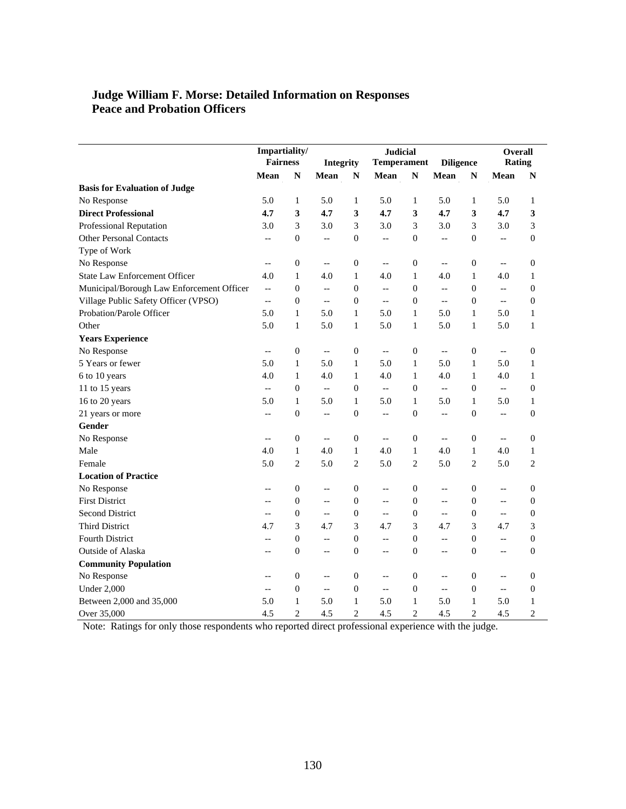### **Judge William F. Morse: Detailed Information on Responses Peace and Probation Officers**

|                                           | Impartiality/<br><b>Fairness</b> |                  | Integrity                |                  | <b>Judicial</b><br><b>Temperament</b> |                  | <b>Diligence</b>         |                  | Overall<br>Rating        |                  |
|-------------------------------------------|----------------------------------|------------------|--------------------------|------------------|---------------------------------------|------------------|--------------------------|------------------|--------------------------|------------------|
|                                           | Mean                             | N                | Mean                     | ${\bf N}$        | Mean                                  | ${\bf N}$        | Mean                     | ${\bf N}$        | Mean                     | N                |
| <b>Basis for Evaluation of Judge</b>      |                                  |                  |                          |                  |                                       |                  |                          |                  |                          |                  |
| No Response                               | 5.0                              | $\mathbf{1}$     | 5.0                      | 1                | 5.0                                   | $\mathbf{1}$     | 5.0                      | $\mathbf{1}$     | 5.0                      | 1                |
| <b>Direct Professional</b>                | 4.7                              | 3                | 4.7                      | 3                | 4.7                                   | 3                | 4.7                      | 3                | 4.7                      | 3                |
| Professional Reputation                   | 3.0                              | 3                | 3.0                      | 3                | 3.0                                   | 3                | 3.0                      | 3                | 3.0                      | 3                |
| <b>Other Personal Contacts</b>            | $\overline{\phantom{a}}$         | $\boldsymbol{0}$ | $\overline{\phantom{a}}$ | $\boldsymbol{0}$ | $\overline{\phantom{a}}$              | $\theta$         | $\overline{\phantom{a}}$ | $\boldsymbol{0}$ | $\overline{a}$           | $\boldsymbol{0}$ |
| Type of Work                              |                                  |                  |                          |                  |                                       |                  |                          |                  |                          |                  |
| No Response                               | $\overline{\phantom{a}}$         | $\boldsymbol{0}$ | $\overline{\phantom{m}}$ | $\boldsymbol{0}$ | $\overline{\phantom{a}}$              | $\boldsymbol{0}$ | $\overline{\phantom{a}}$ | $\boldsymbol{0}$ | $\overline{\phantom{a}}$ | $\boldsymbol{0}$ |
| <b>State Law Enforcement Officer</b>      | 4.0                              | $\mathbf{1}$     | 4.0                      | $\mathbf{1}$     | 4.0                                   | $\mathbf{1}$     | 4.0                      | $\mathbf{1}$     | 4.0                      | 1                |
| Municipal/Borough Law Enforcement Officer | $\overline{\phantom{a}}$         | $\mathbf{0}$     | $\overline{\phantom{a}}$ | $\mathbf{0}$     | $\overline{\phantom{a}}$              | $\theta$         | $\overline{\phantom{a}}$ | $\mathbf{0}$     | $\overline{a}$           | $\boldsymbol{0}$ |
| Village Public Safety Officer (VPSO)      | $\qquad \qquad -$                | $\theta$         | $\overline{\phantom{a}}$ | $\boldsymbol{0}$ | $-\,-$                                | $\theta$         | $\overline{\phantom{a}}$ | $\mathbf{0}$     | $\overline{a}$           | $\boldsymbol{0}$ |
| Probation/Parole Officer                  | 5.0                              | 1                | 5.0                      | $\mathbf{1}$     | 5.0                                   | $\mathbf{1}$     | 5.0                      | 1                | 5.0                      | 1                |
| Other                                     | 5.0                              | $\mathbf{1}$     | 5.0                      | $\mathbf{1}$     | 5.0                                   | $\mathbf{1}$     | 5.0                      | $\mathbf{1}$     | 5.0                      | 1                |
| <b>Years Experience</b>                   |                                  |                  |                          |                  |                                       |                  |                          |                  |                          |                  |
| No Response                               | $-$                              | $\theta$         | $\overline{\phantom{m}}$ | $\boldsymbol{0}$ | $\overline{\phantom{a}}$              | $\theta$         | $\overline{\phantom{a}}$ | $\boldsymbol{0}$ | $\overline{\phantom{a}}$ | $\boldsymbol{0}$ |
| 5 Years or fewer                          | 5.0                              | $\mathbf{1}$     | 5.0                      | $\mathbf{1}$     | 5.0                                   | $\mathbf{1}$     | 5.0                      | $\mathbf{1}$     | 5.0                      | 1                |
| 6 to 10 years                             | 4.0                              | $\mathbf{1}$     | 4.0                      | $\mathbf{1}$     | 4.0                                   | $\mathbf{1}$     | 4.0                      | $\mathbf{1}$     | 4.0                      | $\mathbf{1}$     |
| 11 to 15 years                            | $\overline{\phantom{a}}$         | $\boldsymbol{0}$ | $\overline{\phantom{a}}$ | $\boldsymbol{0}$ | $\overline{a}$                        | $\boldsymbol{0}$ | $\overline{a}$           | $\boldsymbol{0}$ | $\overline{\phantom{a}}$ | $\boldsymbol{0}$ |
| 16 to 20 years                            | 5.0                              | $\mathbf{1}$     | 5.0                      | $\mathbf{1}$     | 5.0                                   | $\mathbf{1}$     | 5.0                      | $\mathbf{1}$     | 5.0                      | $\mathbf{1}$     |
| 21 years or more                          | $-$                              | $\boldsymbol{0}$ | $\overline{\phantom{m}}$ | $\boldsymbol{0}$ | $-$                                   | $\Omega$         | $\overline{a}$           | $\boldsymbol{0}$ | $\sim$                   | $\boldsymbol{0}$ |
| Gender                                    |                                  |                  |                          |                  |                                       |                  |                          |                  |                          |                  |
| No Response                               | $-$                              | $\boldsymbol{0}$ | $\overline{\phantom{a}}$ | $\boldsymbol{0}$ | $\overline{\phantom{a}}$              | $\boldsymbol{0}$ | $\overline{a}$           | $\boldsymbol{0}$ | $\overline{a}$           | $\boldsymbol{0}$ |
| Male                                      | 4.0                              | $\mathbf{1}$     | 4.0                      | $\mathbf{1}$     | 4.0                                   | $\mathbf{1}$     | 4.0                      | $\mathbf{1}$     | 4.0                      | $\mathbf{1}$     |
| Female                                    | 5.0                              | 2                | 5.0                      | $\overline{c}$   | 5.0                                   | $\overline{2}$   | 5.0                      | $\overline{2}$   | 5.0                      | $\overline{2}$   |
| <b>Location of Practice</b>               |                                  |                  |                          |                  |                                       |                  |                          |                  |                          |                  |
| No Response                               | $-$                              | $\mathbf{0}$     | $\overline{\phantom{m}}$ | $\boldsymbol{0}$ | $-$                                   | $\theta$         | $-\!$ –                  | $\boldsymbol{0}$ | $\overline{\phantom{m}}$ | 0                |
| <b>First District</b>                     | $-$                              | $\theta$         | $\overline{\phantom{m}}$ | $\boldsymbol{0}$ | $-$                                   | $\boldsymbol{0}$ | $\overline{\phantom{a}}$ | $\boldsymbol{0}$ | $\overline{\phantom{a}}$ | $\boldsymbol{0}$ |
| <b>Second District</b>                    | $-$                              | $\mathbf{0}$     | $\overline{\phantom{a}}$ | $\boldsymbol{0}$ | $\overline{\phantom{a}}$              | $\theta$         | $\overline{\phantom{a}}$ | $\mathbf{0}$     | $\overline{\phantom{a}}$ | $\boldsymbol{0}$ |
| <b>Third District</b>                     | 4.7                              | 3                | 4.7                      | 3                | 4.7                                   | 3                | 4.7                      | 3                | 4.7                      | 3                |
| <b>Fourth District</b>                    | $-$                              | $\mathbf{0}$     | $-\, -$                  | $\boldsymbol{0}$ | $-$                                   | $\Omega$         | $-$                      | $\mathbf{0}$     | $\overline{\phantom{m}}$ | $\boldsymbol{0}$ |
| Outside of Alaska                         | $-$                              | $\theta$         | $\overline{\phantom{a}}$ | $\boldsymbol{0}$ | $-$                                   | $\theta$         | --                       | $\mathbf{0}$     | $\overline{\phantom{a}}$ | $\boldsymbol{0}$ |
| <b>Community Population</b>               |                                  |                  |                          |                  |                                       |                  |                          |                  |                          |                  |
| No Response                               | $-$                              | $\boldsymbol{0}$ | $\overline{a}$           | $\boldsymbol{0}$ | $\overline{\phantom{a}}$              | $\boldsymbol{0}$ | $\overline{\phantom{a}}$ | $\boldsymbol{0}$ | $\overline{a}$           | $\boldsymbol{0}$ |
| <b>Under 2,000</b>                        | $-$                              | $\boldsymbol{0}$ | $\overline{\phantom{a}}$ | $\boldsymbol{0}$ | $-$                                   | $\boldsymbol{0}$ | $\overline{a}$           | $\mathbf{0}$     | $\sim$                   | $\mathbf{0}$     |
| Between 2,000 and 35,000                  | 5.0                              | $\mathbf{1}$     | 5.0                      | $\mathbf{1}$     | 5.0                                   | $\mathbf{1}$     | 5.0                      | $\mathbf{1}$     | 5.0                      | 1                |
| Over 35,000                               | 4.5                              | $\overline{2}$   | 4.5                      | $\overline{c}$   | 4.5                                   | $\overline{c}$   | 4.5                      | $\overline{c}$   | 4.5                      | $\overline{2}$   |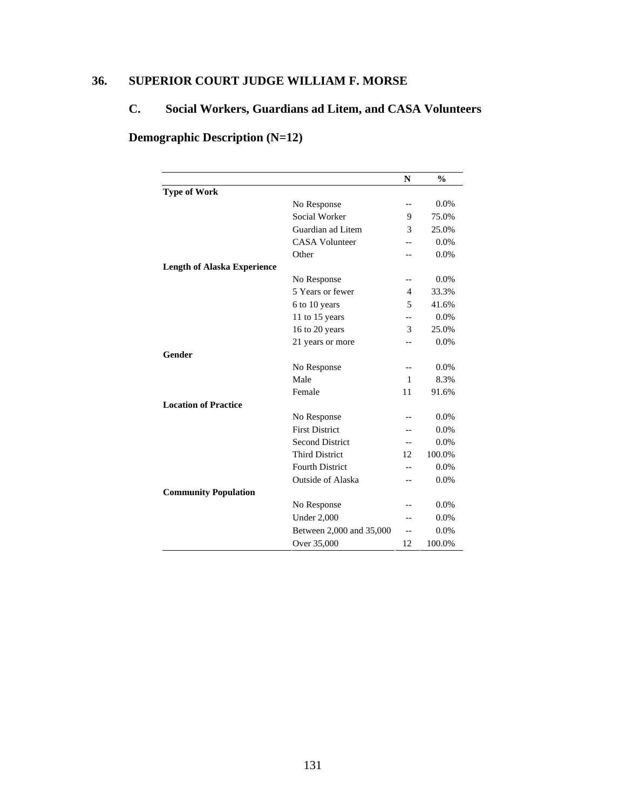# **36. SUPERIOR COURT JUDGE WILLIAM F. MORSE**

# **C. Social Workers, Guardians ad Litem, and CASA Volunteers**

# **Demographic Description (N=12)**

|                                    |                          | $\mathbf N$  | $\frac{0}{0}$ |
|------------------------------------|--------------------------|--------------|---------------|
| <b>Type of Work</b>                |                          |              |               |
|                                    | No Response              | $-$          | $0.0\%$       |
|                                    | Social Worker            | 9            | 75.0%         |
|                                    | Guardian ad Litem        | 3            | 25.0%         |
|                                    | <b>CASA Volunteer</b>    |              | 0.0%          |
|                                    | Other                    |              | $0.0\%$       |
| <b>Length of Alaska Experience</b> |                          |              |               |
|                                    | No Response              | $-$          | $0.0\%$       |
|                                    | 5 Years or fewer         | 4            | 33.3%         |
|                                    | 6 to 10 years            | 5            | 41.6%         |
|                                    | 11 to 15 years           | --           | 0.0%          |
|                                    | 16 to 20 years           | 3            | 25.0%         |
|                                    | 21 years or more         |              | $0.0\%$       |
| Gender                             |                          |              |               |
|                                    | No Response              | $-$          | $0.0\%$       |
|                                    | Male                     | $\mathbf{1}$ | 8.3%          |
|                                    | Female                   | 11           | 91.6%         |
| <b>Location of Practice</b>        |                          |              |               |
|                                    | No Response              |              | 0.0%          |
|                                    | <b>First District</b>    |              | 0.0%          |
|                                    | <b>Second District</b>   | $-$          | 0.0%          |
|                                    | <b>Third District</b>    | 12           | 100.0%        |
|                                    | <b>Fourth District</b>   | --           | 0.0%          |
|                                    | <b>Outside of Alaska</b> | $-$          | 0.0%          |
| <b>Community Population</b>        |                          |              |               |
|                                    | No Response              |              | $0.0\%$       |
|                                    | <b>Under 2,000</b>       | $-$          | $0.0\%$       |
|                                    | Between 2,000 and 35,000 | $-$          | 0.0%          |
|                                    | Over 35,000              | 12           | 100.0%        |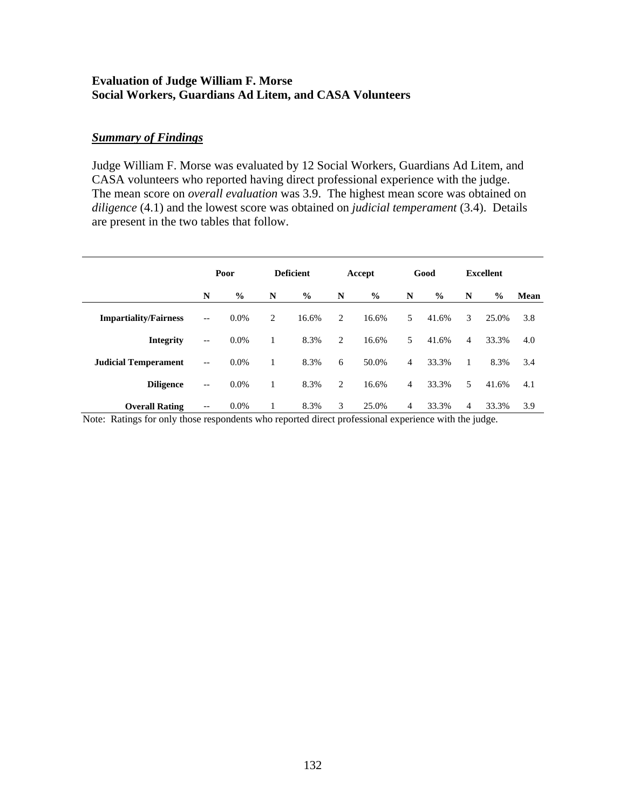### **Evaluation of Judge William F. Morse Social Workers, Guardians Ad Litem, and CASA Volunteers**

### *Summary of Findings*

Judge William F. Morse was evaluated by 12 Social Workers, Guardians Ad Litem, and CASA volunteers who reported having direct professional experience with the judge. The mean score on *overall evaluation* was 3.9. The highest mean score was obtained on *diligence* (4.1) and the lowest score was obtained on *judicial temperament* (3.4). Details are present in the two tables that follow.

|                              | Poor                     |               | <b>Deficient</b> |               | Accept |               |                | Good          | Excellent      |               |      |
|------------------------------|--------------------------|---------------|------------------|---------------|--------|---------------|----------------|---------------|----------------|---------------|------|
|                              | N                        | $\frac{0}{0}$ | N                | $\frac{0}{0}$ | N      | $\frac{6}{6}$ | N              | $\frac{0}{0}$ | N              | $\frac{0}{0}$ | Mean |
| <b>Impartiality/Fairness</b> | $\overline{\phantom{m}}$ | $0.0\%$       | 2                | 16.6%         | 2      | 16.6%         | 5              | 41.6%         | 3              | 25.0%         | 3.8  |
| <b>Integrity</b>             | $\overline{\phantom{m}}$ | $0.0\%$       |                  | 8.3%          | 2      | 16.6%         | 5              | 41.6%         | $\overline{4}$ | 33.3%         | 4.0  |
| <b>Judicial Temperament</b>  | $\overline{\phantom{m}}$ | $0.0\%$       |                  | 8.3%          | 6      | 50.0%         | $\overline{4}$ | 33.3%         | 1              | 8.3%          | 3.4  |
| <b>Diligence</b>             | $\overline{\phantom{m}}$ | $0.0\%$       | 1                | 8.3%          | 2      | 16.6%         | $\overline{4}$ | 33.3%         | 5              | 41.6%         | 4.1  |
| <b>Overall Rating</b>        | $\overline{\phantom{m}}$ | $0.0\%$       | 1                | 8.3%          | 3      | 25.0%         | 4              | 33.3%         | 4              | 33.3%         | 3.9  |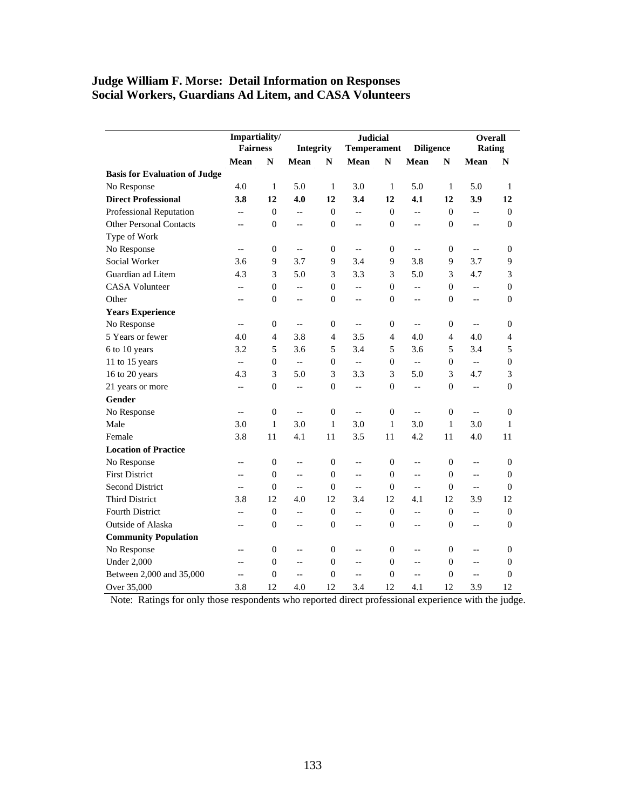### **Judge William F. Morse: Detail Information on Responses Social Workers, Guardians Ad Litem, and CASA Volunteers**

|                                      | Impartiality/<br><b>Fairness</b> |                  | <b>Integrity</b>         |                  | <b>Diligence</b>           | Overall<br>Rating |                |                  |                          |                  |
|--------------------------------------|----------------------------------|------------------|--------------------------|------------------|----------------------------|-------------------|----------------|------------------|--------------------------|------------------|
|                                      | Mean                             | N                | Mean                     | ${\bf N}$        | <b>Temperament</b><br>Mean | N                 | Mean           | ${\bf N}$        | Mean                     | N                |
| <b>Basis for Evaluation of Judge</b> |                                  |                  |                          |                  |                            |                   |                |                  |                          |                  |
| No Response                          | 4.0                              | 1                | 5.0                      | $\mathbf{1}$     | 3.0                        | 1                 | 5.0            | $\mathbf{1}$     | 5.0                      | 1                |
| <b>Direct Professional</b>           | 3.8                              | 12               | 4.0                      | 12               | 3.4                        | 12                | 4.1            | 12               | 3.9                      | 12               |
| Professional Reputation              | $-$                              | $\boldsymbol{0}$ | Ξ.                       | $\theta$         | $\overline{\phantom{a}}$   | $\boldsymbol{0}$  | $-$            | $\boldsymbol{0}$ | $\overline{a}$           | $\boldsymbol{0}$ |
| <b>Other Personal Contacts</b>       | $-$                              | $\boldsymbol{0}$ | $-$                      | $\theta$         | $-$                        | $\mathbf{0}$      | $-$            | $\overline{0}$   | $-$                      | $\overline{0}$   |
| Type of Work                         |                                  |                  |                          |                  |                            |                   |                |                  |                          |                  |
| No Response                          | $-\,-$                           | $\boldsymbol{0}$ | $\overline{\phantom{a}}$ | $\boldsymbol{0}$ | $\overline{\phantom{a}}$   | $\boldsymbol{0}$  | $\overline{a}$ | 0                | $\overline{\phantom{a}}$ | $\boldsymbol{0}$ |
| Social Worker                        | 3.6                              | 9                | 3.7                      | 9                | 3.4                        | 9                 | 3.8            | 9                | 3.7                      | 9                |
| Guardian ad Litem                    | 4.3                              | 3                | 5.0                      | 3                | 3.3                        | 3                 | 5.0            | 3                | 4.7                      | 3                |
| <b>CASA Volunteer</b>                | $-$                              | $\boldsymbol{0}$ | $\overline{a}$           | $\theta$         | $\overline{a}$             | $\mathbf{0}$      | $\overline{a}$ | $\overline{0}$   | $\overline{a}$           | $\boldsymbol{0}$ |
| Other                                | $-$                              | $\overline{0}$   | $-$                      | $\overline{0}$   | $-$                        | $\mathbf{0}$      | $-$            | $\overline{0}$   | $-$                      | $\overline{0}$   |
| <b>Years Experience</b>              |                                  |                  |                          |                  |                            |                   |                |                  |                          |                  |
| No Response                          | $-\,-$                           | $\boldsymbol{0}$ | $\overline{\phantom{a}}$ | $\boldsymbol{0}$ | $\overline{\phantom{a}}$   | $\boldsymbol{0}$  | $\overline{a}$ | 0                | $\overline{\phantom{a}}$ | $\boldsymbol{0}$ |
| 5 Years or fewer                     | 4.0                              | 4                | 3.8                      | 4                | 3.5                        | $\overline{4}$    | 4.0            | 4                | 4.0                      | 4                |
| 6 to 10 years                        | 3.2                              | 5                | 3.6                      | 5                | 3.4                        | 5                 | 3.6            | 5                | 3.4                      | 5                |
| 11 to 15 years                       | $\overline{a}$                   | $\boldsymbol{0}$ | $\overline{a}$           | $\mathbf{0}$     | $\overline{\phantom{a}}$   | $\mathbf{0}$      | <u></u>        | $\overline{0}$   | $\overline{a}$           | $\boldsymbol{0}$ |
| 16 to 20 years                       | 4.3                              | 3                | 5.0                      | 3                | 3.3                        | 3                 | 5.0            | 3                | 4.7                      | 3                |
| 21 years or more                     | $-$                              | $\overline{0}$   | ÷.                       | $\overline{0}$   | $\overline{\phantom{a}}$   | $\mathbf{0}$      | $-$            | $\overline{0}$   | $-$                      | $\overline{0}$   |
| Gender                               |                                  |                  |                          |                  |                            |                   |                |                  |                          |                  |
| No Response                          | $\overline{a}$                   | $\boldsymbol{0}$ | $\overline{\phantom{a}}$ | $\theta$         | $\overline{a}$             | $\mathbf{0}$      | $\overline{a}$ | $\boldsymbol{0}$ | $\overline{a}$           | $\boldsymbol{0}$ |
| Male                                 | 3.0                              | $\mathbf{1}$     | 3.0                      | $\mathbf{1}$     | 3.0                        | $\mathbf{1}$      | 3.0            | $\mathbf{1}$     | 3.0                      | 1                |
| Female                               | 3.8                              | 11               | 4.1                      | 11               | 3.5                        | 11                | 4.2            | 11               | 4.0                      | 11               |
| <b>Location of Practice</b>          |                                  |                  |                          |                  |                            |                   |                |                  |                          |                  |
| No Response                          | $-$                              | $\mathbf{0}$     | $-$                      | $\theta$         | $\overline{\phantom{a}}$   | $\mathbf{0}$      | $-$            | $\overline{0}$   | $-$                      | $\mathbf{0}$     |
| <b>First District</b>                | $-$                              | $\overline{0}$   | $-$                      | $\mathbf{0}$     | $\overline{\phantom{a}}$   | $\mathbf{0}$      | $-$            | $\overline{0}$   | Ξ.                       | $\mathbf{0}$     |
| <b>Second District</b>               | $-$                              | $\mathbf{0}$     | $\overline{a}$           | $\mathbf{0}$     | $\overline{a}$             | $\theta$          | $\overline{a}$ | $\overline{0}$   | $\overline{a}$           | $\mathbf{0}$     |
| <b>Third District</b>                | 3.8                              | 12               | 4.0                      | 12               | 3.4                        | 12                | 4.1            | 12               | 3.9                      | 12               |
| <b>Fourth District</b>               | $-$                              | $\mathbf{0}$     | Ξ.                       | $\mathbf{0}$     | $-$                        | $\theta$          | $\overline{a}$ | $\overline{0}$   | $-$                      | $\mathbf{0}$     |
| Outside of Alaska                    | $-$                              | $\boldsymbol{0}$ | $\overline{\phantom{a}}$ | $\boldsymbol{0}$ | $\overline{\phantom{a}}$   | $\boldsymbol{0}$  | $-$            | $\boldsymbol{0}$ | $\overline{\phantom{a}}$ | $\boldsymbol{0}$ |
| <b>Community Population</b>          |                                  |                  |                          |                  |                            |                   |                |                  |                          |                  |
| No Response                          | $-$                              | $\overline{0}$   | $-$                      | $\overline{0}$   | $\overline{\phantom{a}}$   | $\mathbf{0}$      | $-$            | 0                | $-$                      | $\mathbf{0}$     |
| <b>Under 2,000</b>                   | $-$                              | $\overline{0}$   | $\overline{\phantom{a}}$ | $\mathbf{0}$     | $\overline{\phantom{a}}$   | $\boldsymbol{0}$  | $\overline{a}$ | $\boldsymbol{0}$ | $\overline{\phantom{a}}$ | $\boldsymbol{0}$ |
| Between 2,000 and 35,000             | $-$                              | $\overline{0}$   | $\overline{a}$           | $\mathbf{0}$     | $\overline{a}$             | $\overline{0}$    | $\overline{a}$ | $\boldsymbol{0}$ | $\overline{\phantom{a}}$ | $\boldsymbol{0}$ |
| Over 35,000                          | 3.8                              | 12               | 4.0                      | 12               | 3.4                        | 12                | 4.1            | 12               | 3.9                      | 12               |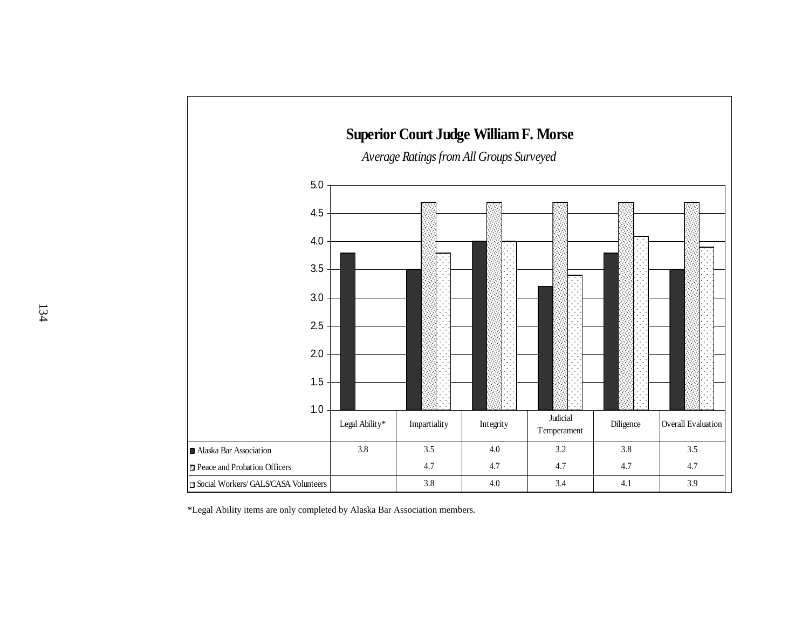

\*Legal Ability items are only completed by Alaska Bar Association members.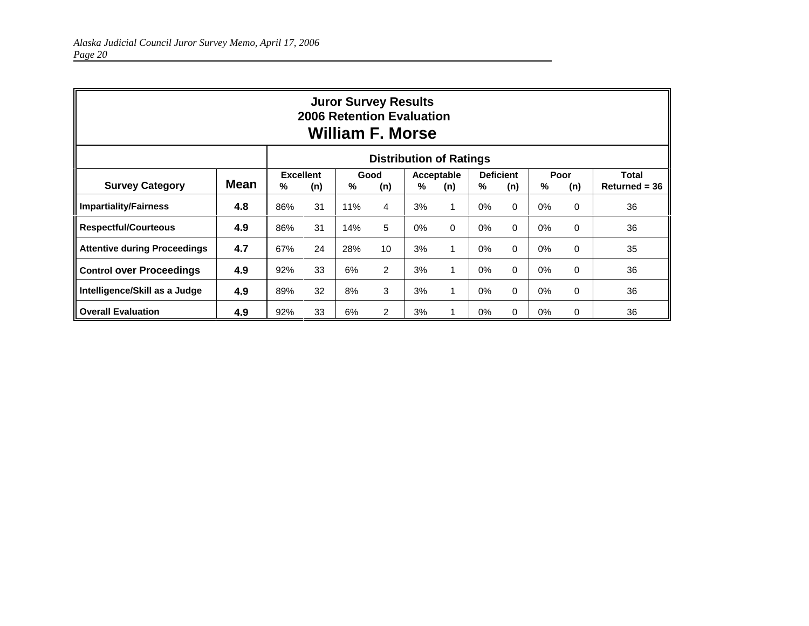| <b>Juror Survey Results</b><br>2006 Retention Evaluation<br><b>William F. Morse</b> |      |     |                         |     |                  |       |                   |                              |          |                  |          |                                 |
|-------------------------------------------------------------------------------------|------|-----|-------------------------|-----|------------------|-------|-------------------|------------------------------|----------|------------------|----------|---------------------------------|
| <b>Distribution of Ratings</b>                                                      |      |     |                         |     |                  |       |                   |                              |          |                  |          |                                 |
| <b>Survey Category</b>                                                              | Mean | %   | <b>Excellent</b><br>(n) |     | Good<br>%<br>(n) |       | Acceptable<br>(n) | <b>Deficient</b><br>%<br>(n) |          | Poor<br>%<br>(n) |          | <b>Total</b><br>$Returned = 36$ |
| <b>Impartiality/Fairness</b>                                                        | 4.8  | 86% | 31                      | 11% | 4                | 3%    |                   | 0%                           | $\Omega$ | 0%               | $\Omega$ | 36                              |
| <b>Respectful/Courteous</b>                                                         | 4.9  | 86% | 31                      | 14% | 5                | $0\%$ | $\Omega$          | $0\%$                        | $\Omega$ | 0%               | $\Omega$ | 36                              |
| <b>Attentive during Proceedings</b>                                                 | 4.7  | 67% | 24                      | 28% | 10               | 3%    | 1                 | $0\%$                        | $\Omega$ | 0%               | $\Omega$ | 35                              |
| <b>Control over Proceedings</b>                                                     | 4.9  | 92% | 33                      | 6%  | $\overline{2}$   | 3%    |                   | $0\%$                        | $\Omega$ | 0%               | $\Omega$ | 36                              |
| Intelligence/Skill as a Judge                                                       | 4.9  | 89% | 32                      | 8%  | 3                | 3%    |                   | $0\%$                        | $\Omega$ | 0%               | 0        | 36                              |
| <b>Overall Evaluation</b>                                                           | 4.9  | 92% | 33                      | 6%  | $\overline{2}$   | 3%    |                   | $0\%$                        | $\Omega$ | $0\%$            | 0        | 36                              |